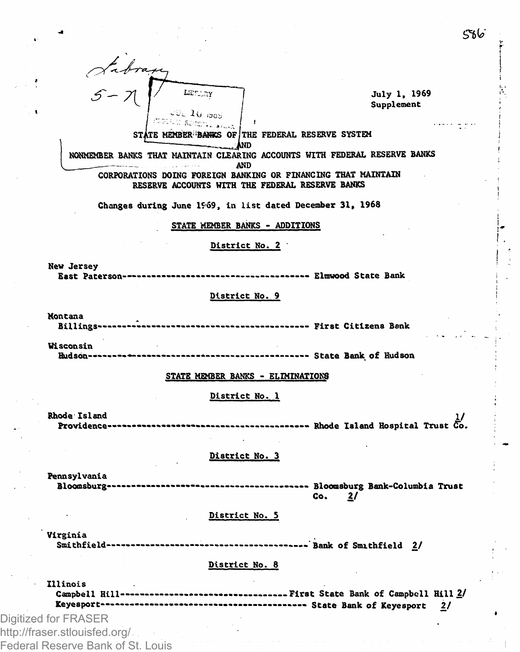

نما 55

Federal Reserve Bank of St. Louis